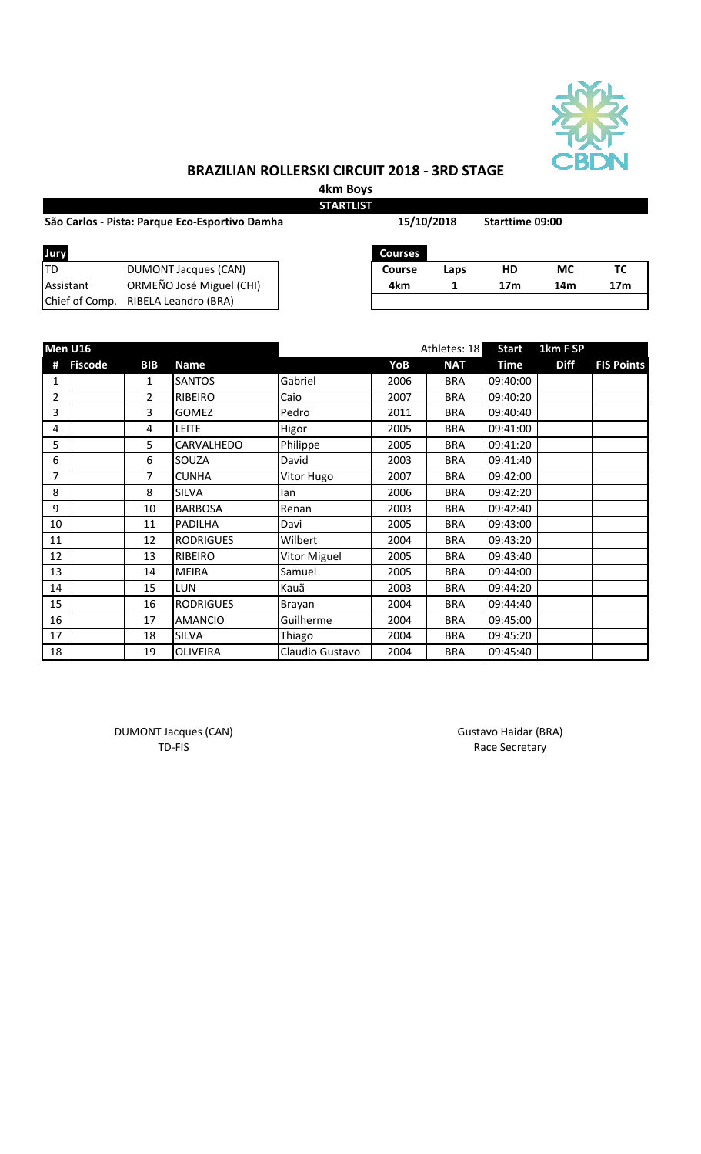

## **BRAZILIAN ROLLERSKI CIRCUIT 2018 - 3RD STAGE**

**4km Boys STARTLIST**

|                | São Carlos - Pista: Parque Eco-Esportivo Damha | 15/10/2018     |      | Starttime 09:00 |           |                 |
|----------------|------------------------------------------------|----------------|------|-----------------|-----------|-----------------|
| Jury           |                                                | <b>Courses</b> |      |                 |           |                 |
| lTD            | <b>DUMONT Jacques (CAN)</b>                    | Course         | Laps | HD              | <b>MC</b> | ТC              |
| Assistant      | ORMEÑO José Miguel (CHI)                       | 4km            |      | 17 <sub>m</sub> | 14m       | 17 <sub>m</sub> |
| Chief of Comp. | <b>RIBELA Leandro (BRA)</b>                    |                |      |                 |           |                 |

| Men U16        |                |                |                  | Athletes: 18    | <b>Start</b> | 1km F SP   |             |             |                   |
|----------------|----------------|----------------|------------------|-----------------|--------------|------------|-------------|-------------|-------------------|
| #              | <b>Fiscode</b> | <b>BIB</b>     | <b>Name</b>      |                 | YoB          | <b>NAT</b> | <b>Time</b> | <b>Diff</b> | <b>FIS Points</b> |
| 1              |                | $\mathbf{1}$   | <b>SANTOS</b>    | Gabriel         | 2006         | <b>BRA</b> | 09:40:00    |             |                   |
| $\overline{2}$ |                | $\overline{2}$ | RIBEIRO          | Caio            | 2007         | <b>BRA</b> | 09:40:20    |             |                   |
| 3              |                | 3              | <b>GOMEZ</b>     | Pedro           | 2011         | <b>BRA</b> | 09:40:40    |             |                   |
| 4              |                | 4              | <b>LEITE</b>     | Higor           | 2005         | <b>BRA</b> | 09:41:00    |             |                   |
| 5              |                | 5              | CARVALHEDO       | Philippe        | 2005         | <b>BRA</b> | 09:41:20    |             |                   |
| 6              |                | 6              | SOUZA            | David           | 2003         | <b>BRA</b> | 09:41:40    |             |                   |
| 7              |                | 7              | <b>CUNHA</b>     | Vitor Hugo      | 2007         | <b>BRA</b> | 09:42:00    |             |                   |
| 8              |                | 8              | <b>SILVA</b>     | lan             | 2006         | <b>BRA</b> | 09:42:20    |             |                   |
| 9              |                | 10             | <b>BARBOSA</b>   | Renan           | 2003         | <b>BRA</b> | 09:42:40    |             |                   |
| 10             |                | 11             | <b>PADILHA</b>   | Davi            | 2005         | <b>BRA</b> | 09:43:00    |             |                   |
| 11             |                | 12             | <b>RODRIGUES</b> | Wilbert         | 2004         | <b>BRA</b> | 09:43:20    |             |                   |
| 12             |                | 13             | <b>RIBEIRO</b>   | Vitor Miguel    | 2005         | <b>BRA</b> | 09:43:40    |             |                   |
| 13             |                | 14             | <b>MEIRA</b>     | Samuel          | 2005         | <b>BRA</b> | 09:44:00    |             |                   |
| 14             |                | 15             | LUN              | Kauã            | 2003         | <b>BRA</b> | 09:44:20    |             |                   |
| 15             |                | 16             | <b>RODRIGUES</b> | Brayan          | 2004         | <b>BRA</b> | 09:44:40    |             |                   |
| 16             |                | 17             | <b>AMANCIO</b>   | Guilherme       | 2004         | <b>BRA</b> | 09:45:00    |             |                   |
| 17             |                | 18             | <b>SILVA</b>     | Thiago          | 2004         | <b>BRA</b> | 09:45:20    |             |                   |
| 18             |                | 19             | <b>OLIVEIRA</b>  | Claudio Gustavo | 2004         | <b>BRA</b> | 09:45:40    |             |                   |

DUMONT Jacques (CAN) and the Canada Control of Gustavo Haidar (BRA) and Gustavo Haidar (BRA)

TD-FIS Race Secretary